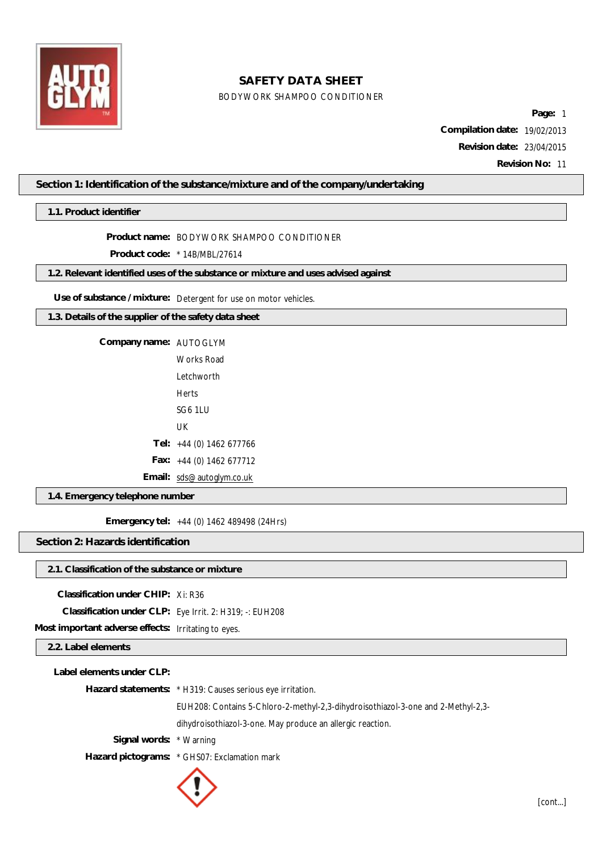

## BODYWORK SHAMPOO CONDITIONER

**Page:** 1 **Compilation date:** 19/02/2013 **Revision date:** 23/04/2015 **Revision No:** 11

## **Section 1: Identification of the substance/mixture and of the company/undertaking**

**1.1. Product identifier**

**Product name:** BODYWORK SHAMPOO CONDITIONER

**Product code:** \* 14B/MBL/27614

**1.2. Relevant identified uses of the substance or mixture and uses advised against**

**Use of substance / mixture:** Detergent for use on motor vehicles.

**1.3. Details of the supplier of the safety data sheet**

**Company name:** AUTOGLYM

Works Road Letchworth Herts SG6 1LU UK **Tel:** +44 (0) 1462 677766 **Fax:** +44 (0) 1462 677712

**Email:** [sds@autoglym.co.uk](mailto:sds@autoglym.co.uk)

**1.4. Emergency telephone number**

**Emergency tel:** +44 (0) 1462 489498 (24Hrs)

**Section 2: Hazards identification**

#### **2.1. Classification of the substance or mixture**

**Classification under CHIP:** Xi: R36

**Classification under CLP:** Eye Irrit. 2: H319; -: EUH208

**Most important adverse effects:** Irritating to eyes.

## **2.2. Label elements**

| Label elements under CLP: |                                                                                  |
|---------------------------|----------------------------------------------------------------------------------|
|                           | Hazard statements: * H319: Causes serious eye irritation.                        |
|                           | EUH208: Contains 5-Chloro-2-methyl-2,3-dihydroisothiazol-3-one and 2-Methyl-2,3- |
|                           | dihydroisothiazol-3-one. May produce an allergic reaction.                       |
| Signal words: * Warning   |                                                                                  |
|                           | Hazard pictograms: * GHS07: Exclamation mark                                     |
|                           |                                                                                  |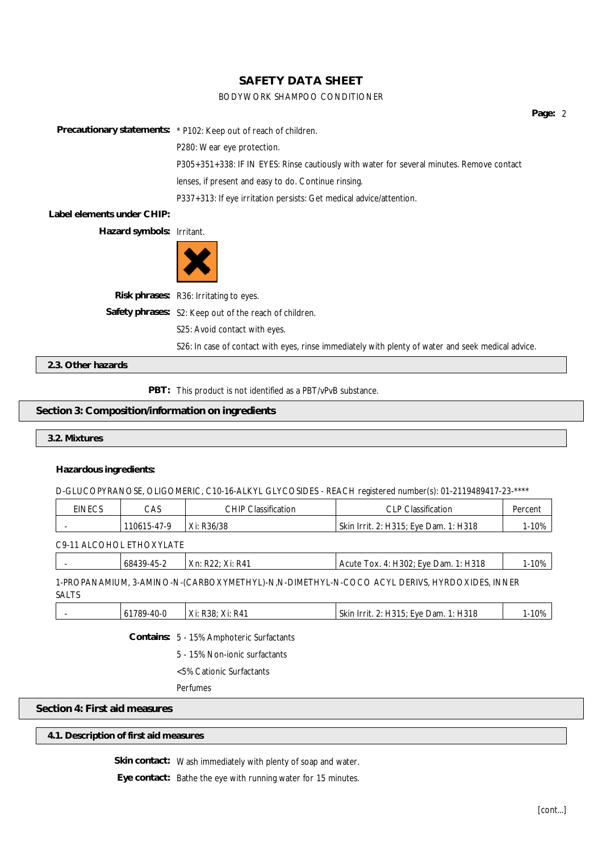#### BODYWORK SHAMPOO CONDITIONER

**Page:** 2 **Precautionary statements:** \* P102: Keep out of reach of children. P280: Wear eye protection. P305+351+338: IF IN EYES: Rinse cautiously with water for several minutes. Remove contact lenses, if present and easy to do. Continue rinsing. P337+313: If eye irritation persists: Get medical advice/attention. **Label elements under CHIP:**

**Hazard symbols:** Irritant.



| Risk phrases: R36: Irritating to eyes.                                                             |
|----------------------------------------------------------------------------------------------------|
| Safety phrases: S2: Keep out of the reach of children.                                             |
| S25: Avoid contact with eyes.                                                                      |
| S26: In case of contact with eyes, rinse immediately with plenty of water and seek medical advice. |

**2.3. Other hazards**

PBT: This product is not identified as a PBT/vPvB substance.

#### **Section 3: Composition/information on ingredients**

**3.2. Mixtures**

#### **Hazardous ingredients:**

D-GLUCOPYRANOSE, OLIGOMERIC, C10-16-ALKYL GLYCOSIDES - REACH registered number(s): 01-2119489417-23-\*\*\*\*

| EINECS | CAS         | Classification<br>CHIP | <b>CLP Classification</b><br>◡∟                      | Percen |
|--------|-------------|------------------------|------------------------------------------------------|--------|
|        | 110615-47-9 | Xi: R36/38             | <b>Skin</b><br>. 2: H315; Eye Dam. 1: H318<br>Irrit. | 1-10%  |

C9-11 ALCOHOL ETHOXYLATE

| 68439-45-2 | Xn: R22: Xi: R41 | Acute Tox. 4: H302; Eye Dam. 1: H318 | 10% |
|------------|------------------|--------------------------------------|-----|
|            |                  |                                      |     |

1-PROPANAMIUM, 3-AMINO-N-(CARBOXYMETHYL)-N,N-DIMETHYL-N-COCO ACYL DERIVS, HYRDOXIDES, INNER SALTS

|  | <sub>0</sub> | 1789.<br>-40-0 | v.<br>· R41<br>$V$ i.<br>R38:<br>AI.<br>$\Delta L$ | 1210<br>$\sim$<br><b>Lve</b><br>⊃arr<br>Irrit<br>SKIP<br>٦.١<br><b>h</b> 10<br> | 10% |
|--|--------------|----------------|----------------------------------------------------|---------------------------------------------------------------------------------|-----|
|--|--------------|----------------|----------------------------------------------------|---------------------------------------------------------------------------------|-----|

**Contains:** 5 - 15% Amphoteric Surfactants

5 - 15% Non-ionic surfactants

<5% Cationic Surfactants

Perfumes

### **Section 4: First aid measures**

**4.1. Description of first aid measures**

**Skin contact:** Wash immediately with plenty of soap and water.

**Eye contact:** Bathe the eye with running water for 15 minutes.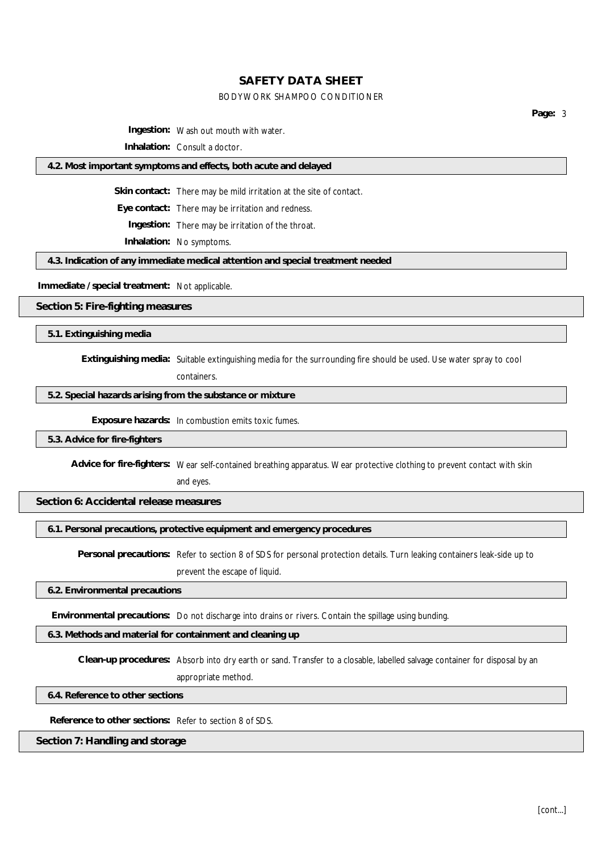#### BODYWORK SHAMPOO CONDITIONER

**Page:** 3

**Ingestion:** Wash out mouth with water.

**Inhalation:** Consult a doctor.

#### **4.2. Most important symptoms and effects, both acute and delayed**

**Skin contact:** There may be mild irritation at the site of contact.

**Eye contact:** There may be irritation and redness.

**Ingestion:** There may be irritation of the throat.

**Inhalation:** No symptoms.

**4.3. Indication of any immediate medical attention and special treatment needed**

**Immediate / special treatment:** Not applicable.

**Section 5: Fire-fighting measures**

**5.1. Extinguishing media**

**Extinguishing media:** Suitable extinguishing media for the surrounding fire should be used. Use water spray to cool

containers.

**5.2. Special hazards arising from the substance or mixture**

**Exposure hazards:** In combustion emits toxic fumes.

**5.3. Advice for fire-fighters**

**Advice for fire-fighters:** Wear self-contained breathing apparatus. Wear protective clothing to prevent contact with skin

and eyes.

**Section 6: Accidental release measures**

**6.1. Personal precautions, protective equipment and emergency procedures**

**Personal precautions:** Refer to section 8 of SDS for personal protection details. Turn leaking containers leak-side up to prevent the escape of liquid.

**6.2. Environmental precautions**

**Environmental precautions:** Do not discharge into drains or rivers. Contain the spillage using bunding.

**6.3. Methods and material for containment and cleaning up**

**Clean-up procedures:** Absorb into dry earth or sand. Transfer to a closable, labelled salvage container for disposal by an

appropriate method.

**6.4. Reference to other sections**

**Reference to other sections:** Refer to section 8 of SDS.

**Section 7: Handling and storage**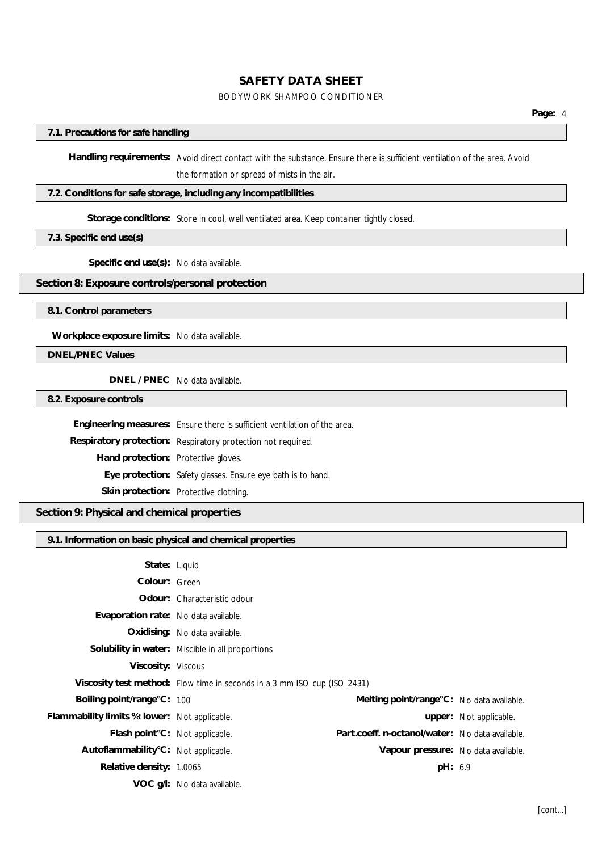#### BODYWORK SHAMPOO CONDITIONER

#### **7.1. Precautions for safe handling**

**Handling requirements:** Avoid direct contact with the substance. Ensure there is sufficient ventilation of the area. Avoid the formation or spread of mists in the air.

## **7.2. Conditions for safe storage, including any incompatibilities**

#### **Storage conditions:** Store in cool, well ventilated area. Keep container tightly closed.

**7.3. Specific end use(s)**

**Specific end use(s):** No data available.

### **Section 8: Exposure controls/personal protection**

**8.1. Control parameters**

**Workplace exposure limits:** No data available.

**DNEL/PNEC Values**

**DNEL / PNEC** No data available.

**8.2. Exposure controls**

**Engineering measures:** Ensure there is sufficient ventilation of the area.

**Respiratory protection:** Respiratory protection not required.

**Hand protection:** Protective gloves.

**Eye protection:** Safety glasses. Ensure eye bath is to hand.

**Skin protection:** Protective clothing.

**Section 9: Physical and chemical properties**

**9.1. Information on basic physical and chemical properties**

| State: Liquid                                 |                                                                          |                                                 |                        |
|-----------------------------------------------|--------------------------------------------------------------------------|-------------------------------------------------|------------------------|
| Colour: Green                                 |                                                                          |                                                 |                        |
|                                               | Odour: Characteristic odour                                              |                                                 |                        |
| Evaporation rate: No data available.          |                                                                          |                                                 |                        |
|                                               | Oxidising: No data available.                                            |                                                 |                        |
|                                               | Solubility in water: Miscible in all proportions                         |                                                 |                        |
| Viscosity: Viscous                            |                                                                          |                                                 |                        |
|                                               | Viscosity test method: Flow time in seconds in a 3 mm ISO cup (ISO 2431) |                                                 |                        |
| Boiling point/range°C: 100                    |                                                                          | Melting point/range °C: No data available.      |                        |
| Flammability limits %: lower: Not applicable. |                                                                          |                                                 | upper: Not applicable. |
| Flash point°C: Not applicable.                |                                                                          | Part.coeff. n-octanol/water: No data available. |                        |
| Autoflammability°C: Not applicable.           |                                                                          | Vapour pressure: No data available.             |                        |
| Relative density: 1,0065                      |                                                                          | pH: 6.9                                         |                        |
|                                               | VOC g/l: No data available.                                              |                                                 |                        |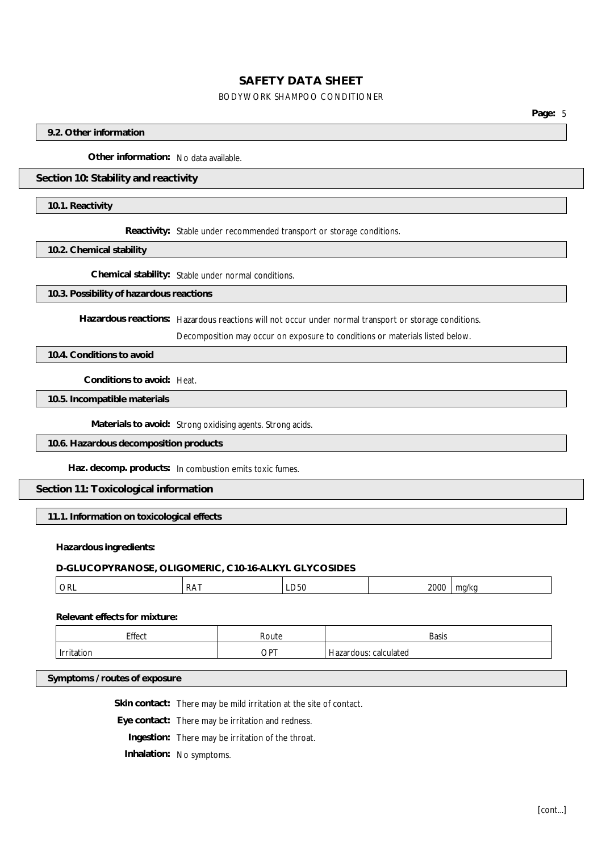#### BODYWORK SHAMPOO CONDITIONER

**Page:** 5

#### **9.2. Other information**

**Other information:** No data available.

#### **Section 10: Stability and reactivity**

**10.1. Reactivity**

**Reactivity:** Stable under recommended transport or storage conditions.

**10.2. Chemical stability**

**Chemical stability:** Stable under normal conditions.

#### **10.3. Possibility of hazardous reactions**

**Hazardous reactions:** Hazardous reactions will not occur under normal transport or storage conditions.

Decomposition may occur on exposure to conditions or materials listed below.

**10.4. Conditions to avoid**

**Conditions to avoid:** Heat.

**10.5. Incompatible materials**

**Materials to avoid:** Strong oxidising agents. Strong acids.

#### **10.6. Hazardous decomposition products**

**Haz. decomp. products:** In combustion emits toxic fumes.

**Section 11: Toxicological information**

**11.1. Information on toxicological effects**

#### **Hazardous ingredients:**

## **D-GLUCOPYRANOSE, OLIGOMERIC, C10-16-ALKYL GLYCOSIDES**

| <b>ORL</b> | ADAT<br><b>NAI</b> | LUJI' | 2000 | $- - - -$ |
|------------|--------------------|-------|------|-----------|
|            |                    |       |      |           |

**Relevant effects for mixture:**

| Effect          | Route  | <b>Basis</b>                                            |
|-----------------|--------|---------------------------------------------------------|
| Irritat<br>tior | $OP^+$ | calculated<br>$\overline{\phantom{a}}$<br>⊤ Hazar dous. |

#### **Symptoms / routes of exposure**

**Skin contact:** There may be mild irritation at the site of contact.

**Eye contact:** There may be irritation and redness.

**Ingestion:** There may be irritation of the throat.

**Inhalation:** No symptoms.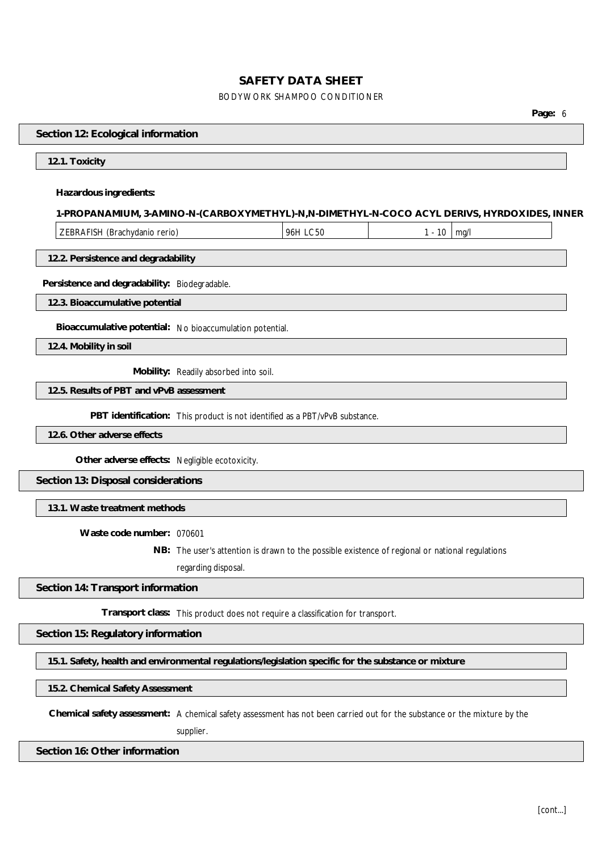## BODYWORK SHAMPOO CONDITIONER

**Page:** 6

| Section 12: Ecological information                                                                                        |                                                                                                 |          |                 |  |
|---------------------------------------------------------------------------------------------------------------------------|-------------------------------------------------------------------------------------------------|----------|-----------------|--|
| 12.1. Toxicity                                                                                                            |                                                                                                 |          |                 |  |
| Hazardous ingredients:                                                                                                    |                                                                                                 |          |                 |  |
| 1-PROPANAMIUM, 3-AMINO-N-(CARBOXYMETHYL)-N,N-DIMETHYL-N-COCO ACYL DERIVS, HYRDOXIDES, INNER                               |                                                                                                 |          |                 |  |
| ZEBRAFISH (Brachydanio rerio)                                                                                             |                                                                                                 | 96H LC50 | $1 - 10$   mg/l |  |
| 12.2. Persistence and degradability                                                                                       |                                                                                                 |          |                 |  |
| Persistence and degradability: Biodegradable.                                                                             |                                                                                                 |          |                 |  |
| 12.3. Bioaccumulative potential                                                                                           |                                                                                                 |          |                 |  |
| Bioaccumulative potential: No bioaccumulation potential.                                                                  |                                                                                                 |          |                 |  |
| 12.4. Mobility in soil                                                                                                    |                                                                                                 |          |                 |  |
|                                                                                                                           | Mobility: Readily absorbed into soil.                                                           |          |                 |  |
| 12.5. Results of PBT and vPvB assessment                                                                                  |                                                                                                 |          |                 |  |
|                                                                                                                           | PBT identification: This product is not identified as a PBT/vPvB substance.                     |          |                 |  |
| 12.6. Other adverse effects                                                                                               |                                                                                                 |          |                 |  |
| Other adverse effects: Negligible ecotoxicity.                                                                            |                                                                                                 |          |                 |  |
| Section 13: Disposal considerations                                                                                       |                                                                                                 |          |                 |  |
| 13.1. Waste treatment methods                                                                                             |                                                                                                 |          |                 |  |
| Waste code number: 070601                                                                                                 |                                                                                                 |          |                 |  |
|                                                                                                                           | NB: The user's attention is drawn to the possible existence of regional or national regulations |          |                 |  |
|                                                                                                                           | regarding disposal.                                                                             |          |                 |  |
| Section 14: Transport information                                                                                         |                                                                                                 |          |                 |  |
|                                                                                                                           | Transport class: This product does not require a classification for transport.                  |          |                 |  |
| Section 15: Regulatory information                                                                                        |                                                                                                 |          |                 |  |
| 15.1. Safety, health and environmental regulations/legislation specific for the substance or mixture                      |                                                                                                 |          |                 |  |
| 15.2. Chemical Safety Assessment                                                                                          |                                                                                                 |          |                 |  |
| Chemical safety assessment: A chemical safety assessment has not been carried out for the substance or the mixture by the |                                                                                                 |          |                 |  |

supplier.

**Section 16: Other information**